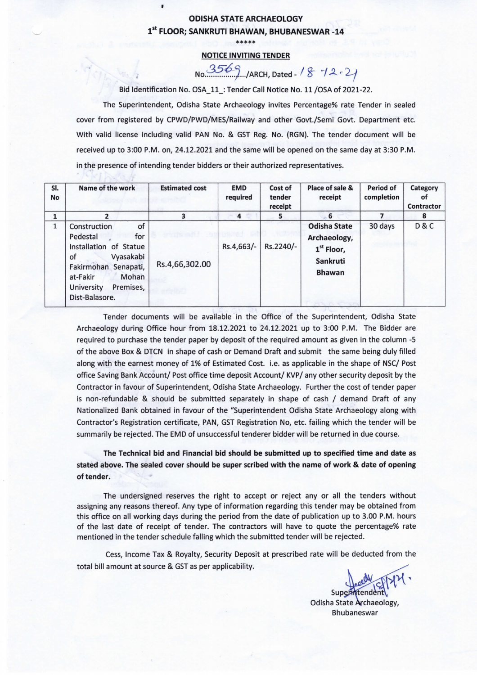## ODISHA STATE ARCHAEOLOGY 1st FLOOR; SANKRUTI BHAWAN, BHUBANESWAR -14

 $\blacksquare$ 

\*\*\*\*\*

## NOTICE INVITING TENDER

 $No. \frac{3569}{12}$ .../ARCH, Dated - 18 72 - 21

Bid Identification No. OSA\_11\_: Tender Call Notice No. 11 /OSA of 2021-22.

The Superintendent, Odisha State Archaeology invites Percentage% rate Tender in sealed cover from registered by CPWD/PWD/MES/Railway and other Govt./Semi Govt. Department etc. With valid license including valid PAN No. & GST Reg. No. (RGN). The tender document will be received up to 3:00 P.M. on, 24.12.2021 and the same will be opened on the same day at 3:30 P.M. in the presence of intending tender bidders or their authorized representatives.

| SI.<br>No    | Name of the work                                                                                                                                                                       | <b>Estimated cost</b> | <b>EMD</b><br>required | Cost of<br>tender<br>receipt | Place of sale &<br>receipt                                                       | Period of<br>completion | Category<br>οf<br><b>Contractor</b> |
|--------------|----------------------------------------------------------------------------------------------------------------------------------------------------------------------------------------|-----------------------|------------------------|------------------------------|----------------------------------------------------------------------------------|-------------------------|-------------------------------------|
|              | 2                                                                                                                                                                                      |                       | 4                      | 5                            | 6                                                                                |                         | 8                                   |
| $\mathbf{1}$ | of<br>Construction<br>for<br>Pedestal<br>Installation of Statue<br>Vyasakabi<br>of<br>Fakirmohan<br>Senapati,<br>Mohan<br>at-Fakir<br>Premises,<br><b>University</b><br>Dist-Balasore. | Rs.4,66,302.00        | Rs.4,663/-             | Rs.2240/-                    | <b>Odisha State</b><br>Archaeology,<br>$1st$ Floor,<br>Sankruti<br><b>Bhawan</b> | 30 days                 | D&C                                 |

Tender documents will be available in the Office of the Superintendent, Odisha State Archaeology during Office hour from 18.12.2021 to 24.12.2021 up to 3:00 P.M. The Bidder are required to purchase the tender paper by deposit of the required amount as given in the column -5 of the above Box & DTCN in shape of cash or Demand Draft and submit the same being duly filled along with the earnest money of 1% of Estimated Cost. i.e. as applicable in the shape of NSC/ Post office Saving Bank Account/ Post office time deposit Account/ KVP/ any other security deposit by the Contractor in favour of Superintendent, Odisha State Archaeology. Further the cost of tender paper is non-refundable & should be submitted separately in shape of cash / demand Draft of any Nationalized Bank obtained in favour of the "Superintendent Odisha State Archaeology along with Contractor's Registration certificate, PAN, GST Registration No, etc. failing which the tender will be summarily be rejected. The EMD of unsuccessful tenderer bidder will be returned in due course.

The Technical bid and Financial bid should be submitted up to specified time and date as stated above. The sealed cover should be super scribed with the name of work & date of opening of tender.

The undersigned reserves the right to accept or reject any or all the tenders without assigning any reasons thereof. Any type of information regarding this tender may be obtained from this office on all working days during the period from the date of publication up to 3.00 P.M. hours of the last date of receipt of tender. The contractors will have to quote the percentage% rate mentioned in the tender schedule falling which the submitted tender will be rejected.

Cess, Income Tax & Royalty, Security Deposit at prescribed rate will be deducted from the total bill amount at source & GST as per applicability.

Supern Odisha State Archaeology, Bhubaneswar